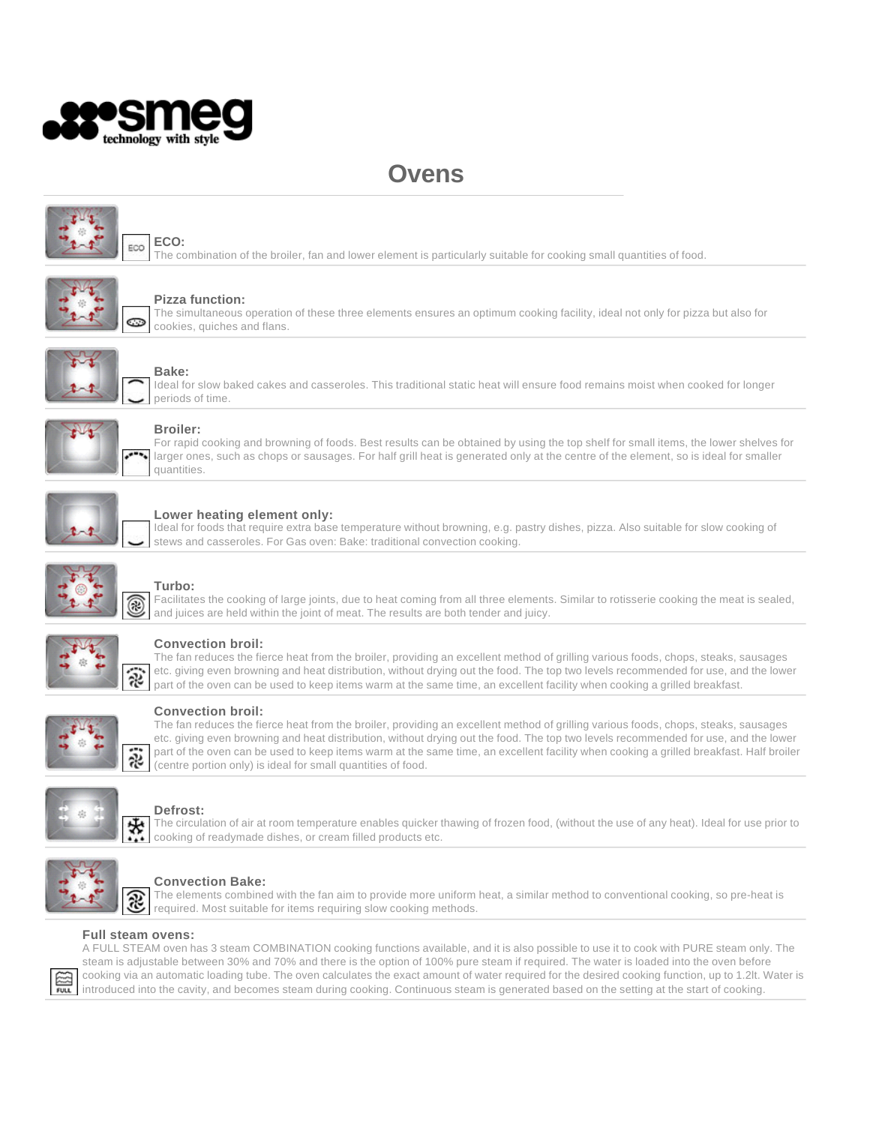

# **Ovens**



## **ECO:**

The combination of the broiler, fan and lower element is particularly suitable for cooking small quantities of food.



#### **Pizza function:**

The simultaneous operation of these three elements ensures an optimum cooking facility, ideal not only for pizza but also for cookies, quiches and flans.



# **Bake:**

Ideal for slow baked cakes and casseroles. This traditional static heat will ensure food remains moist when cooked for longer periods of time.



#### **Broiler:**

For rapid cooking and browning of foods. Best results can be obtained by using the top shelf for small items, the lower shelves for larger ones, such as chops or sausages. For half grill heat is generated only at the centre of the element, so is ideal for smaller quantities.



#### **Lower heating element only:**

Ideal for foods that require extra base temperature without browning, e.g. pastry dishes, pizza. Also suitable for slow cooking of stews and casseroles. For Gas oven: Bake: traditional convection cooking.



# **Turbo:**

Facilitates the cooking of large joints, due to heat coming from all three elements. Similar to rotisserie cooking the meat is sealed, and juices are held within the joint of meat. The results are both tender and juicy.



## **Convection broil:**

The fan reduces the fierce heat from the broiler, providing an excellent method of grilling various foods, chops, steaks, sausages etc. giving even browning and heat distribution, without drying out the food. The top two levels recommended for use, and the lower part of the oven can be used to keep items warm at the same time, an excellent facility when cooking a grilled breakfast.



#### **Convection broil:**

The fan reduces the fierce heat from the broiler, providing an excellent method of grilling various foods, chops, steaks, sausages etc. giving even browning and heat distribution, without drying out the food. The top two levels recommended for use, and the lower part of the oven can be used to keep items warm at the same time, an excellent facility when cooking a grilled breakfast. Half broiler (centre portion only) is ideal for small quantities of food.



#### **Defrost:**

The circulation of air at room temperature enables quicker thawing of frozen food, (without the use of any heat). Ideal for use prior to cooking of readymade dishes, or cream filled products etc.



## **Convection Bake:**

The elements combined with the fan aim to provide more uniform heat, a similar method to conventional cooking, so pre-heat is required. Most suitable for items requiring slow cooking methods.

#### **Full steam ovens:**

A FULL STEAM oven has 3 steam COMBINATION cooking functions available, and it is also possible to use it to cook with PURE steam only. The steam is adjustable between 30% and 70% and there is the option of 100% pure steam if required. The water is loaded into the oven before cooking via an automatic loading tube. The oven calculates the exact amount of water required for the desired cooking function, up to 1.2lt. Water is introduced into the cavity, and becomes steam during cooking. Continuous steam is generated based on the setting at the start of cooking.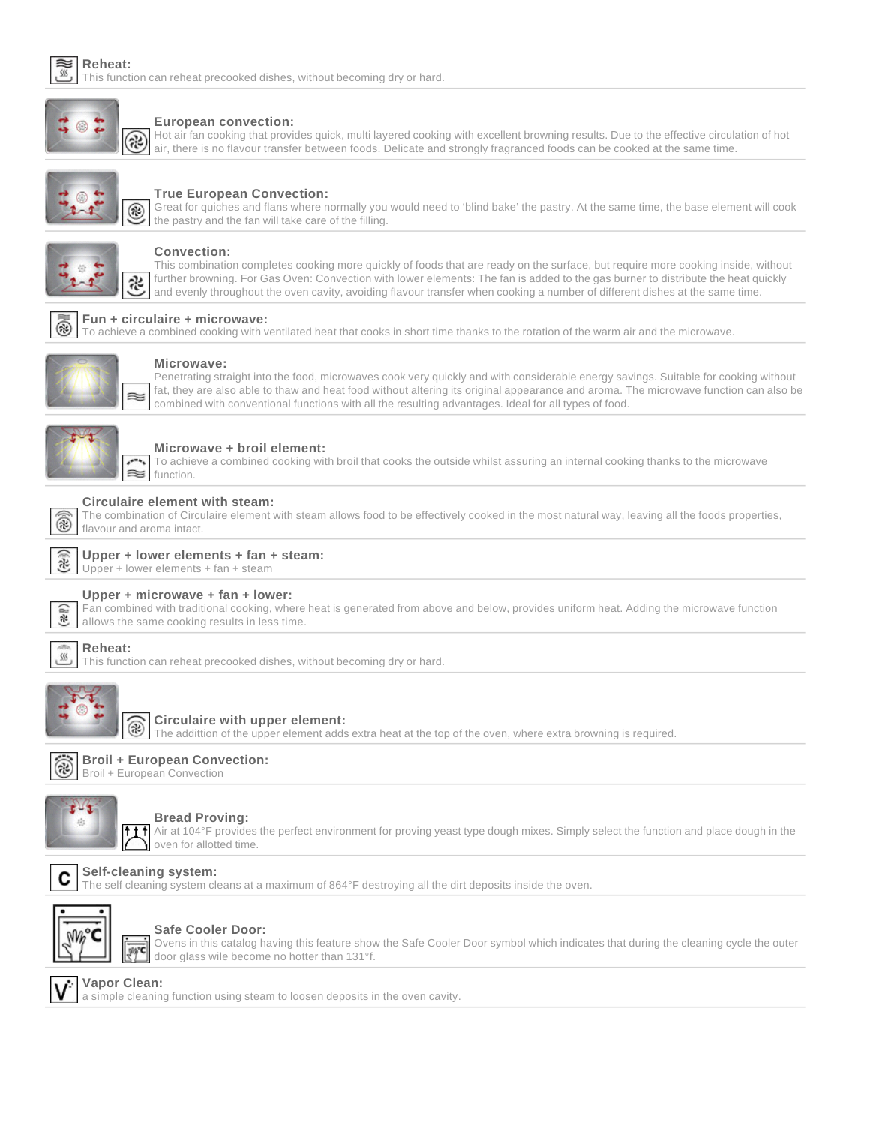

#### **Reheat:** This function can reheat precooked dishes, without becoming dry or hard.



#### **European convection:**

Hot air fan cooking that provides quick, multi layered cooking with excellent browning results. Due to the effective circulation of hot air, there is no flavour transfer between foods. Delicate and strongly fragranced foods can be cooked at the same time.



#### **True European Convection:**

Great for quiches and flans where normally you would need to 'blind bake' the pastry. At the same time, the base element will cook the pastry and the fan will take care of the filling.



#### **Convection:**

This combination completes cooking more quickly of foods that are ready on the surface, but require more cooking inside, without further browning. For Gas Oven: Convection with lower elements: The fan is added to the gas burner to distribute the heat quickly and evenly throughout the oven cavity, avoiding flavour transfer when cooking a number of different dishes at the same time.

## **Fun + circulaire + microwave:**

⊛ To achieve a combined cooking with ventilated heat that cooks in short time thanks to the rotation of the warm air and the microwave.



#### **Microwave:**

Penetrating straight into the food, microwaves cook very quickly and with considerable energy savings. Suitable for cooking without fat, they are also able to thaw and heat food without altering its original appearance and aroma. The microwave function can also be combined with conventional functions with all the resulting advantages. Ideal for all types of food.



#### **Microwave + broil element:**

To achieve a combined cooking with broil that cooks the outside whilst assuring an internal cooking thanks to the microwave function.

#### **Circulaire element with steam:**

| The combination of Circulaire element with steam allows food to be effectively cooked in the most natural way, leaving all the foods properties, |
|--------------------------------------------------------------------------------------------------------------------------------------------------|
| I flavour and aroma intact.                                                                                                                      |



 $\widehat{\mathbb{R}}$ 

# **Upper + lower elements + fan + steam:**

Upper + lower elements + fan + steam



## **Upper + microwave + fan + lower:**

Fan combined with traditional cooking, where heat is generated from above and below, provides uniform heat. Adding the microwave function allows the same cooking results in less time.

#### **Reheat:**  $\ensuremath{\mathsf{SS}}$

This function can reheat precooked dishes, without becoming dry or hard.



#### **Circulaire with upper element:**

The addittion of the upper element adds extra heat at the top of the oven, where extra browning is required.



С

# **Broil + European Convection:**

Broil + European Convection



#### **Bread Proving:**

 $+1+$ Air at 104°F provides the perfect environment for proving yeast type dough mixes. Simply select the function and place dough in the oven for allotted time.

## **Self-cleaning system:**

yits\*C

The self cleaning system cleans at a maximum of 864°F destroying all the dirt deposits inside the oven.



#### **Safe Cooler Door:**

Ovens in this catalog having this feature show the Safe Cooler Door symbol which indicates that during the cleaning cycle the outer door glass wile become no hotter than 131°f.

#### **Vapor Clean:**

a simple cleaning function using steam to loosen deposits in the oven cavity.